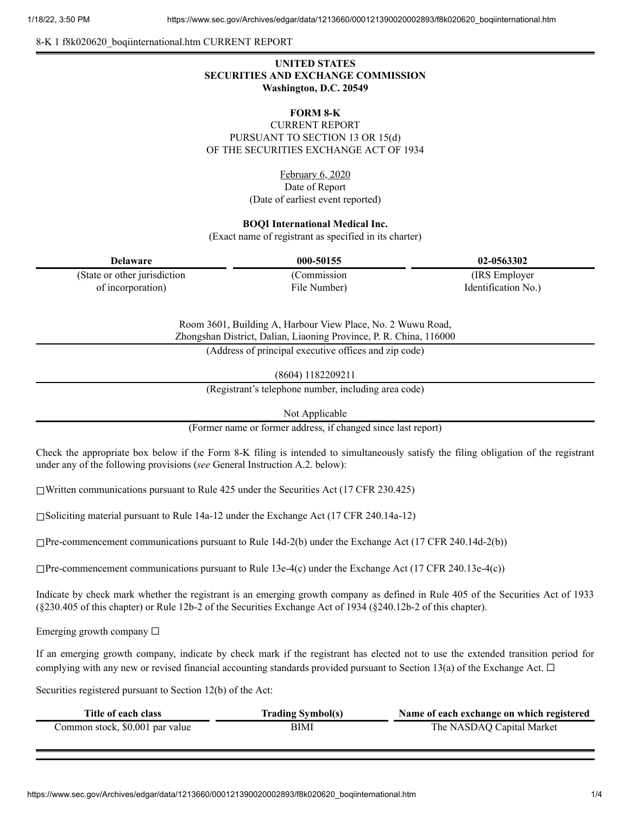8-K 1 f8k020620\_boqiinternational.htm CURRENT REPORT

# **UNITED STATES SECURITIES AND EXCHANGE COMMISSION Washington, D.C. 20549**

## **FORM 8-K**

CURRENT REPORT PURSUANT TO SECTION 13 OR 15(d) OF THE SECURITIES EXCHANGE ACT OF 1934

> February 6, 2020 Date of Report (Date of earliest event reported)

#### **BOQI International Medical Inc.**

(Exact name of registrant as specified in its charter)

| Delaware                      | 000-50155    | 02-0563302          |
|-------------------------------|--------------|---------------------|
| (State or other jurisdiction) | 'Commission- | (IRS Employer)      |
| of incorporation)             | File Number) | Identification No.) |

Room 3601, Building A, Harbour View Place, No. 2 Wuwu Road, Zhongshan District, Dalian, Liaoning Province, P. R. China, 116000

(Address of principal executive offices and zip code)

(8604) 1182209211

(Registrant's telephone number, including area code)

Not Applicable

(Former name or former address, if changed since last report)

Check the appropriate box below if the Form 8-K filing is intended to simultaneously satisfy the filing obligation of the registrant under any of the following provisions (*see* General Instruction A.2. below):

 $\Box$ Written communications pursuant to Rule 425 under the Securities Act (17 CFR 230.425)

☐Soliciting material pursuant to Rule 14a-12 under the Exchange Act (17 CFR 240.14a-12)

☐Pre-commencement communications pursuant to Rule 14d-2(b) under the Exchange Act (17 CFR 240.14d-2(b))

 $\Box$ Pre-commencement communications pursuant to Rule 13e-4(c) under the Exchange Act (17 CFR 240.13e-4(c))

Indicate by check mark whether the registrant is an emerging growth company as defined in Rule 405 of the Securities Act of 1933 (§230.405 of this chapter) or Rule 12b-2 of the Securities Exchange Act of 1934 (§240.12b-2 of this chapter).

Emerging growth company  $\Box$ 

If an emerging growth company, indicate by check mark if the registrant has elected not to use the extended transition period for complying with any new or revised financial accounting standards provided pursuant to Section 13(a) of the Exchange Act.  $\Box$ 

Securities registered pursuant to Section 12(b) of the Act:

| Title of each class             | <b>Trading Symbol(s)</b> | Name of each exchange on which registered |
|---------------------------------|--------------------------|-------------------------------------------|
| Common stock, \$0.001 par value | BIMI                     | The NASDAQ Capital Market                 |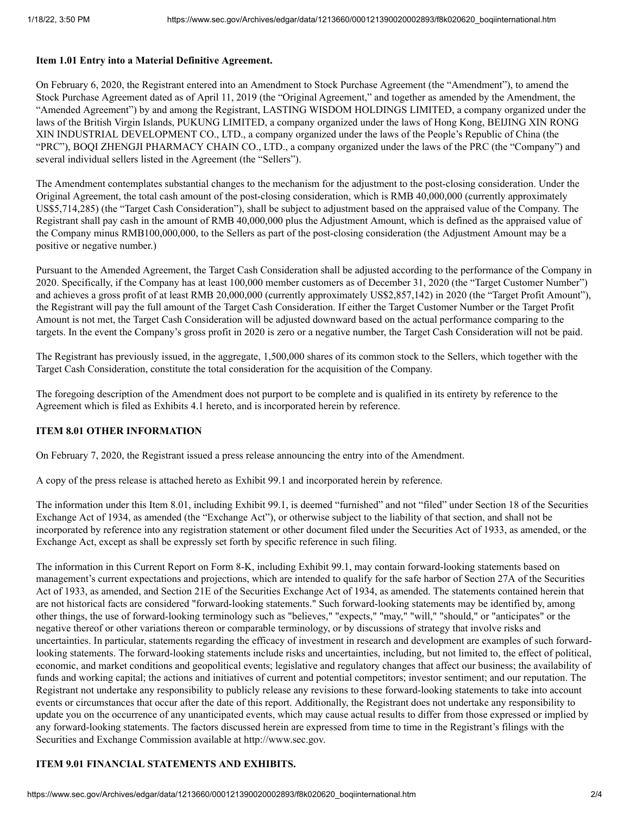#### **Item 1.01 Entry into a Material Definitive Agreement.**

On February 6, 2020, the Registrant entered into an Amendment to Stock Purchase Agreement (the "Amendment"), to amend the Stock Purchase Agreement dated as of April 11, 2019 (the "Original Agreement," and together as amended by the Amendment, the "Amended Agreement") by and among the Registrant, LASTING WISDOM HOLDINGS LIMITED, a company organized under the laws of the British Virgin Islands, PUKUNG LIMITED, a company organized under the laws of Hong Kong, BEIJING XIN RONG XIN INDUSTRIAL DEVELOPMENT CO., LTD., a company organized under the laws of the People's Republic of China (the "PRC"), BOQI ZHENGJI PHARMACY CHAIN CO., LTD., a company organized under the laws of the PRC (the "Company") and several individual sellers listed in the Agreement (the "Sellers").

The Amendment contemplates substantial changes to the mechanism for the adjustment to the post-closing consideration. Under the Original Agreement, the total cash amount of the post-closing consideration, which is RMB 40,000,000 (currently approximately US\$5,714,285) (the "Target Cash Consideration"), shall be subject to adjustment based on the appraised value of the Company. The Registrant shall pay cash in the amount of RMB 40,000,000 plus the Adjustment Amount, which is defined as the appraised value of the Company minus RMB100,000,000, to the Sellers as part of the post-closing consideration (the Adjustment Amount may be a positive or negative number.)

Pursuant to the Amended Agreement, the Target Cash Consideration shall be adjusted according to the performance of the Company in 2020. Specifically, if the Company has at least 100,000 member customers as of December 31, 2020 (the "Target Customer Number") and achieves a gross profit of at least RMB 20,000,000 (currently approximately US\$2,857,142) in 2020 (the "Target Profit Amount"), the Registrant will pay the full amount of the Target Cash Consideration. If either the Target Customer Number or the Target Profit Amount is not met, the Target Cash Consideration will be adjusted downward based on the actual performance comparing to the targets. In the event the Company's gross profit in 2020 is zero or a negative number, the Target Cash Consideration will not be paid.

The Registrant has previously issued, in the aggregate, 1,500,000 shares of its common stock to the Sellers, which together with the Target Cash Consideration, constitute the total consideration for the acquisition of the Company.

The foregoing description of the Amendment does not purport to be complete and is qualified in its entirety by reference to the Agreement which is filed as Exhibits 4.1 hereto, and is incorporated herein by reference.

### **ITEM 8.01 OTHER INFORMATION**

On February 7, 2020, the Registrant issued a press release announcing the entry into of the Amendment.

A copy of the press release is attached hereto as Exhibit 99.1 and incorporated herein by reference.

The information under this Item 8.01, including Exhibit 99.1, is deemed "furnished" and not "filed" under Section 18 of the Securities Exchange Act of 1934, as amended (the "Exchange Act"), or otherwise subject to the liability of that section, and shall not be incorporated by reference into any registration statement or other document filed under the Securities Act of 1933, as amended, or the Exchange Act, except as shall be expressly set forth by specific reference in such filing.

The information in this Current Report on Form 8-K, including Exhibit 99.1, may contain forward-looking statements based on management's current expectations and projections, which are intended to qualify for the safe harbor of Section 27A of the Securities Act of 1933, as amended, and Section 21E of the Securities Exchange Act of 1934, as amended. The statements contained herein that are not historical facts are considered "forward-looking statements." Such forward-looking statements may be identified by, among other things, the use of forward-looking terminology such as "believes," "expects," "may," "will," "should," or "anticipates" or the negative thereof or other variations thereon or comparable terminology, or by discussions of strategy that involve risks and uncertainties. In particular, statements regarding the efficacy of investment in research and development are examples of such forwardlooking statements. The forward-looking statements include risks and uncertainties, including, but not limited to, the effect of political, economic, and market conditions and geopolitical events; legislative and regulatory changes that affect our business; the availability of funds and working capital; the actions and initiatives of current and potential competitors; investor sentiment; and our reputation. The Registrant not undertake any responsibility to publicly release any revisions to these forward-looking statements to take into account events or circumstances that occur after the date of this report. Additionally, the Registrant does not undertake any responsibility to update you on the occurrence of any unanticipated events, which may cause actual results to differ from those expressed or implied by any forward-looking statements. The factors discussed herein are expressed from time to time in the Registrant's filings with the Securities and Exchange Commission available at http://www.sec.gov.

## **ITEM 9.01 FINANCIAL STATEMENTS AND EXHIBITS.**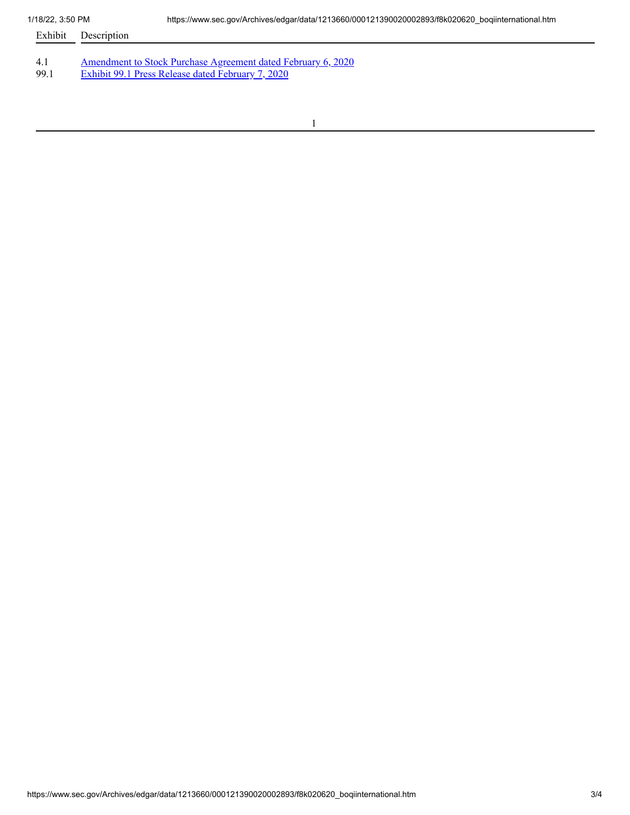- Exhibit Description
- 4.1 [Amendment](https://www.sec.gov/Archives/edgar/data/1213660/000121390020002893/f8k020620ex4-1_boqiinter.htm) to Stock Purchase Agreement dated February 6, 2020<br>99.1 Exhibit 99.1 Press Release dated February 7, 2020
- 99.1 Exhibit 99.1 Press Release dated [February](https://www.sec.gov/Archives/edgar/data/1213660/000121390020002893/f8k020620ex99-1_boqiinter.htm) 7, 2020